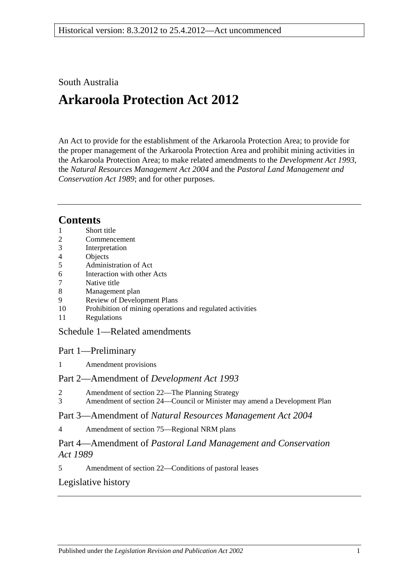## South Australia

# **Arkaroola Protection Act 2012**

An Act to provide for the establishment of the Arkaroola Protection Area; to provide for the proper management of the Arkaroola Protection Area and prohibit mining activities in the Arkaroola Protection Area; to make related amendments to the *[Development Act](http://www.legislation.sa.gov.au/index.aspx?action=legref&type=act&legtitle=Development%20Act%201993) 1993*, the *[Natural Resources Management Act](http://www.legislation.sa.gov.au/index.aspx?action=legref&type=act&legtitle=Natural%20Resources%20Management%20Act%202004) 2004* and the *[Pastoral Land Management and](http://www.legislation.sa.gov.au/index.aspx?action=legref&type=act&legtitle=Pastoral%20Land%20Management%20and%20Conservation%20Act%201989)  [Conservation Act](http://www.legislation.sa.gov.au/index.aspx?action=legref&type=act&legtitle=Pastoral%20Land%20Management%20and%20Conservation%20Act%201989) 1989*; and for other purposes.

# **Contents**

- 1 [Short title](#page-1-0)
- 2 [Commencement](#page-1-1)
- 3 [Interpretation](#page-1-2)
- 4 [Objects](#page-1-3)
- 5 [Administration of Act](#page-2-0)
- 6 [Interaction with other Acts](#page-2-1)
- 7 [Native title](#page-2-2)
- 8 [Management plan](#page-2-3)
- 9 [Review of Development Plans](#page-4-0)
- 10 [Prohibition of mining operations and regulated activities](#page-4-1)
- 11 [Regulations](#page-4-2)

### Schedule [1—Related amendments](#page-5-0)

### Part 1—Preliminary

1 [Amendment provisions](#page-5-1)

### Part 2—Amendment of *Development Act 1993*

- 2 [Amendment of section 22—The Planning Strategy](#page-5-2)
- 3 [Amendment of section 24—Council or Minister may amend a Development Plan](#page-5-3)

### Part 3—Amendment of *Natural Resources Management Act 2004*

4 [Amendment of section 75—Regional NRM plans](#page-5-4)

### Part 4—Amendment of *Pastoral Land Management and Conservation Act 1989*

5 [Amendment of section 22—Conditions of pastoral leases](#page-6-0)

### [Legislative history](#page-7-0)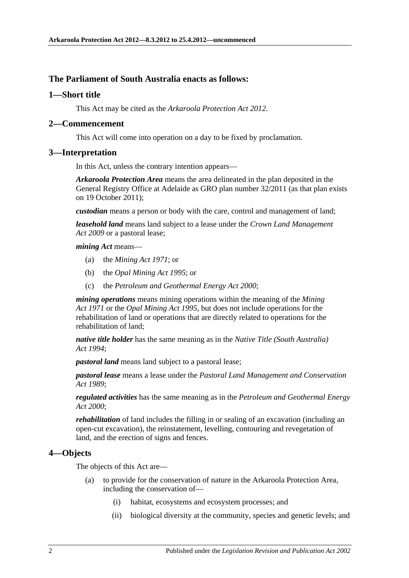#### **The Parliament of South Australia enacts as follows:**

#### <span id="page-1-0"></span>**1—Short title**

This Act may be cited as the *Arkaroola Protection Act 2012*.

#### <span id="page-1-1"></span>**2—Commencement**

This Act will come into operation on a day to be fixed by proclamation.

#### <span id="page-1-2"></span>**3—Interpretation**

In this Act, unless the contrary intention appears—

*Arkaroola Protection Area* means the area delineated in the plan deposited in the General Registry Office at Adelaide as GRO plan number 32/2011 (as that plan exists on 19 October 2011);

*custodian* means a person or body with the care, control and management of land;

*leasehold land* means land subject to a lease under the *[Crown Land Management](http://www.legislation.sa.gov.au/index.aspx?action=legref&type=act&legtitle=Crown%20Land%20Management%20Act%202009)  Act [2009](http://www.legislation.sa.gov.au/index.aspx?action=legref&type=act&legtitle=Crown%20Land%20Management%20Act%202009)* or a pastoral lease;

*mining Act* means—

- (a) the *[Mining Act](http://www.legislation.sa.gov.au/index.aspx?action=legref&type=act&legtitle=Mining%20Act%201971) 1971*; or
- (b) the *[Opal Mining Act](http://www.legislation.sa.gov.au/index.aspx?action=legref&type=act&legtitle=Opal%20Mining%20Act%201995) 1995*; or
- (c) the *[Petroleum and Geothermal Energy Act](http://www.legislation.sa.gov.au/index.aspx?action=legref&type=act&legtitle=Petroleum%20and%20Geothermal%20Energy%20Act%202000) 2000*;

*mining operations* means mining operations within the meaning of the *[Mining](http://www.legislation.sa.gov.au/index.aspx?action=legref&type=act&legtitle=Mining%20Act%201971)  Act [1971](http://www.legislation.sa.gov.au/index.aspx?action=legref&type=act&legtitle=Mining%20Act%201971)* or the *[Opal Mining Act](http://www.legislation.sa.gov.au/index.aspx?action=legref&type=act&legtitle=Opal%20Mining%20Act%201995) 1995*, but does not include operations for the rehabilitation of land or operations that are directly related to operations for the rehabilitation of land;

*native title holder* has the same meaning as in the *[Native Title \(South Australia\)](http://www.legislation.sa.gov.au/index.aspx?action=legref&type=act&legtitle=Native%20Title%20(South%20Australia)%20Act%201994)  Act [1994](http://www.legislation.sa.gov.au/index.aspx?action=legref&type=act&legtitle=Native%20Title%20(South%20Australia)%20Act%201994)*;

*pastoral land* means land subject to a pastoral lease;

*pastoral lease* means a lease under the *[Pastoral Land Management and Conservation](http://www.legislation.sa.gov.au/index.aspx?action=legref&type=act&legtitle=Pastoral%20Land%20Management%20and%20Conservation%20Act%201989)  Act [1989](http://www.legislation.sa.gov.au/index.aspx?action=legref&type=act&legtitle=Pastoral%20Land%20Management%20and%20Conservation%20Act%201989)*;

*regulated activities* has the same meaning as in the *[Petroleum and Geothermal Energy](http://www.legislation.sa.gov.au/index.aspx?action=legref&type=act&legtitle=Petroleum%20and%20Geothermal%20Energy%20Act%202000)  Act [2000](http://www.legislation.sa.gov.au/index.aspx?action=legref&type=act&legtitle=Petroleum%20and%20Geothermal%20Energy%20Act%202000)*;

*rehabilitation* of land includes the filling in or sealing of an excavation (including an open-cut excavation), the reinstatement, levelling, contouring and revegetation of land, and the erection of signs and fences.

#### <span id="page-1-3"></span>**4—Objects**

The objects of this Act are—

- (a) to provide for the conservation of nature in the Arkaroola Protection Area, including the conservation of—
	- (i) habitat, ecosystems and ecosystem processes; and
	- (ii) biological diversity at the community, species and genetic levels; and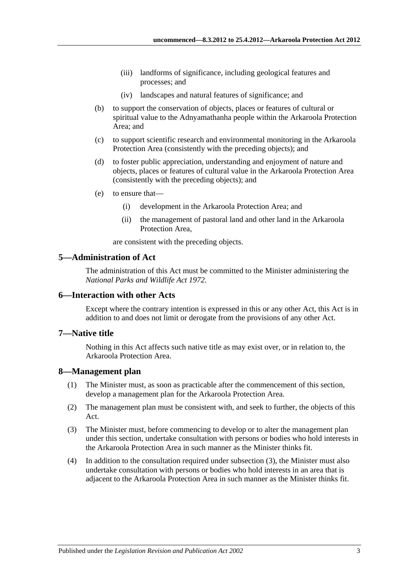- (iii) landforms of significance, including geological features and processes; and
- (iv) landscapes and natural features of significance; and
- (b) to support the conservation of objects, places or features of cultural or spiritual value to the Adnyamathanha people within the Arkaroola Protection Area; and
- (c) to support scientific research and environmental monitoring in the Arkaroola Protection Area (consistently with the preceding objects); and
- (d) to foster public appreciation, understanding and enjoyment of nature and objects, places or features of cultural value in the Arkaroola Protection Area (consistently with the preceding objects); and
- (e) to ensure that—
	- (i) development in the Arkaroola Protection Area; and
	- (ii) the management of pastoral land and other land in the Arkaroola Protection Area,

are consistent with the preceding objects.

#### <span id="page-2-0"></span>**5—Administration of Act**

The administration of this Act must be committed to the Minister administering the *[National Parks and Wildlife Act](http://www.legislation.sa.gov.au/index.aspx?action=legref&type=act&legtitle=National%20Parks%20and%20Wildlife%20Act%201972) 1972*.

#### <span id="page-2-1"></span>**6—Interaction with other Acts**

Except where the contrary intention is expressed in this or any other Act, this Act is in addition to and does not limit or derogate from the provisions of any other Act.

#### <span id="page-2-2"></span>**7—Native title**

Nothing in this Act affects such native title as may exist over, or in relation to, the Arkaroola Protection Area.

#### <span id="page-2-3"></span>**8—Management plan**

- (1) The Minister must, as soon as practicable after the commencement of this section, develop a management plan for the Arkaroola Protection Area.
- (2) The management plan must be consistent with, and seek to further, the objects of this Act.
- <span id="page-2-4"></span>(3) The Minister must, before commencing to develop or to alter the management plan under this section, undertake consultation with persons or bodies who hold interests in the Arkaroola Protection Area in such manner as the Minister thinks fit.
- <span id="page-2-5"></span>(4) In addition to the consultation required under [subsection](#page-2-4) (3), the Minister must also undertake consultation with persons or bodies who hold interests in an area that is adjacent to the Arkaroola Protection Area in such manner as the Minister thinks fit.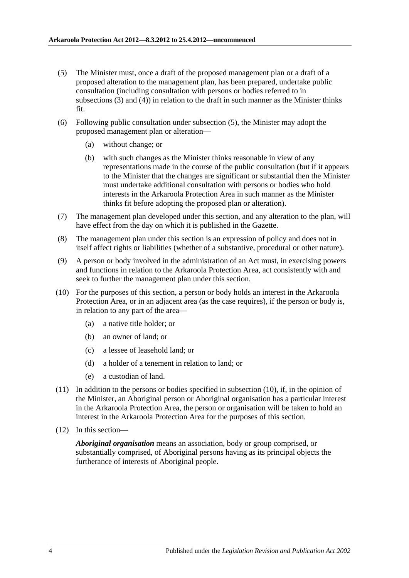- <span id="page-3-0"></span>(5) The Minister must, once a draft of the proposed management plan or a draft of a proposed alteration to the management plan, has been prepared, undertake public consultation (including consultation with persons or bodies referred to in [subsections](#page-2-4) (3) and [\(4\)\)](#page-2-5) in relation to the draft in such manner as the Minister thinks fit.
- (6) Following public consultation under [subsection](#page-3-0) (5), the Minister may adopt the proposed management plan or alteration—
	- (a) without change; or
	- (b) with such changes as the Minister thinks reasonable in view of any representations made in the course of the public consultation (but if it appears to the Minister that the changes are significant or substantial then the Minister must undertake additional consultation with persons or bodies who hold interests in the Arkaroola Protection Area in such manner as the Minister thinks fit before adopting the proposed plan or alteration).
- <span id="page-3-2"></span>(7) The management plan developed under this section, and any alteration to the plan, will have effect from the day on which it is published in the Gazette.
- (8) The management plan under this section is an expression of policy and does not in itself affect rights or liabilities (whether of a substantive, procedural or other nature).
- (9) A person or body involved in the administration of an Act must, in exercising powers and functions in relation to the Arkaroola Protection Area, act consistently with and seek to further the management plan under this section.
- <span id="page-3-1"></span>(10) For the purposes of this section, a person or body holds an interest in the Arkaroola Protection Area, or in an adjacent area (as the case requires), if the person or body is, in relation to any part of the area—
	- (a) a native title holder; or
	- (b) an owner of land; or
	- (c) a lessee of leasehold land; or
	- (d) a holder of a tenement in relation to land; or
	- (e) a custodian of land.
- (11) In addition to the persons or bodies specified in [subsection](#page-3-1) (10), if, in the opinion of the Minister, an Aboriginal person or Aboriginal organisation has a particular interest in the Arkaroola Protection Area, the person or organisation will be taken to hold an interest in the Arkaroola Protection Area for the purposes of this section.
- (12) In this section—

*Aboriginal organisation* means an association, body or group comprised, or substantially comprised, of Aboriginal persons having as its principal objects the furtherance of interests of Aboriginal people.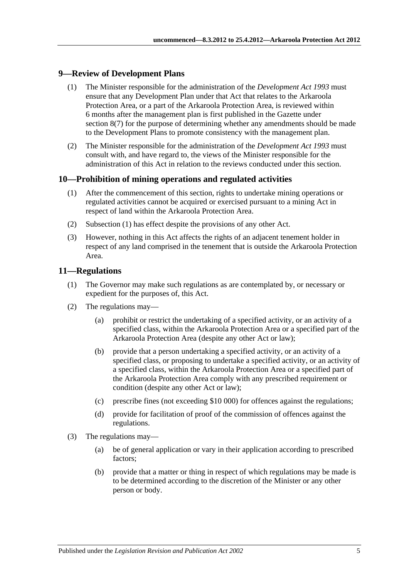#### <span id="page-4-0"></span>**9—Review of Development Plans**

- (1) The Minister responsible for the administration of the *[Development Act](http://www.legislation.sa.gov.au/index.aspx?action=legref&type=act&legtitle=Development%20Act%201993) 1993* must ensure that any Development Plan under that Act that relates to the Arkaroola Protection Area, or a part of the Arkaroola Protection Area, is reviewed within 6 months after the management plan is first published in the Gazette under [section](#page-3-2) 8(7) for the purpose of determining whether any amendments should be made to the Development Plans to promote consistency with the management plan.
- (2) The Minister responsible for the administration of the *[Development Act](http://www.legislation.sa.gov.au/index.aspx?action=legref&type=act&legtitle=Development%20Act%201993) 1993* must consult with, and have regard to, the views of the Minister responsible for the administration of this Act in relation to the reviews conducted under this section.

#### <span id="page-4-3"></span><span id="page-4-1"></span>**10—Prohibition of mining operations and regulated activities**

- (1) After the commencement of this section, rights to undertake mining operations or regulated activities cannot be acquired or exercised pursuant to a mining Act in respect of land within the Arkaroola Protection Area.
- (2) [Subsection](#page-4-3) (1) has effect despite the provisions of any other Act.
- (3) However, nothing in this Act affects the rights of an adjacent tenement holder in respect of any land comprised in the tenement that is outside the Arkaroola Protection Area.

#### <span id="page-4-2"></span>**11—Regulations**

- (1) The Governor may make such regulations as are contemplated by, or necessary or expedient for the purposes of, this Act.
- (2) The regulations may—
	- (a) prohibit or restrict the undertaking of a specified activity, or an activity of a specified class, within the Arkaroola Protection Area or a specified part of the Arkaroola Protection Area (despite any other Act or law);
	- (b) provide that a person undertaking a specified activity, or an activity of a specified class, or proposing to undertake a specified activity, or an activity of a specified class, within the Arkaroola Protection Area or a specified part of the Arkaroola Protection Area comply with any prescribed requirement or condition (despite any other Act or law);
	- (c) prescribe fines (not exceeding \$10 000) for offences against the regulations;
	- (d) provide for facilitation of proof of the commission of offences against the regulations.
- (3) The regulations may—
	- (a) be of general application or vary in their application according to prescribed factors;
	- (b) provide that a matter or thing in respect of which regulations may be made is to be determined according to the discretion of the Minister or any other person or body.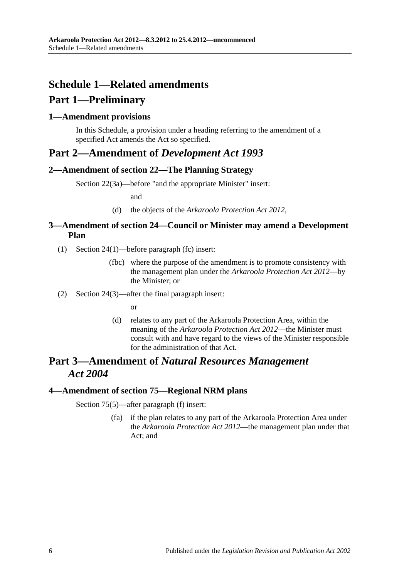# <span id="page-5-0"></span>**Schedule 1—Related amendments**

# **Part 1—Preliminary**

### <span id="page-5-1"></span>**1—Amendment provisions**

In this Schedule, a provision under a heading referring to the amendment of a specified Act amends the Act so specified.

# **Part 2—Amendment of** *Development Act 1993*

### <span id="page-5-2"></span>**2—Amendment of section 22—The Planning Strategy**

Section 22(3a)—before "and the appropriate Minister" insert:

and

(d) the objects of the *[Arkaroola Protection Act](http://www.legislation.sa.gov.au/index.aspx?action=legref&type=act&legtitle=Arkaroola%20Protection%20Act%202012) 2012*,

### <span id="page-5-3"></span>**3—Amendment of section 24—Council or Minister may amend a Development Plan**

- (1) Section 24(1)—before paragraph (fc) insert:
	- (fbc) where the purpose of the amendment is to promote consistency with the management plan under the *[Arkaroola Protection Act](http://www.legislation.sa.gov.au/index.aspx?action=legref&type=act&legtitle=Arkaroola%20Protection%20Act%202012) 2012*—by the Minister; or
- (2) Section 24(3)—after the final paragraph insert:

or

(d) relates to any part of the Arkaroola Protection Area, within the meaning of the *[Arkaroola Protection Act](http://www.legislation.sa.gov.au/index.aspx?action=legref&type=act&legtitle=Arkaroola%20Protection%20Act%202012) 2012*—the Minister must consult with and have regard to the views of the Minister responsible for the administration of that Act.

# **Part 3—Amendment of** *Natural Resources Management Act 2004*

#### <span id="page-5-4"></span>**4—Amendment of section 75—Regional NRM plans**

Section 75(5)—after paragraph (f) insert:

(fa) if the plan relates to any part of the Arkaroola Protection Area under the *[Arkaroola Protection Act](http://www.legislation.sa.gov.au/index.aspx?action=legref&type=act&legtitle=Arkaroola%20Protection%20Act%202012) 2012*—the management plan under that Act; and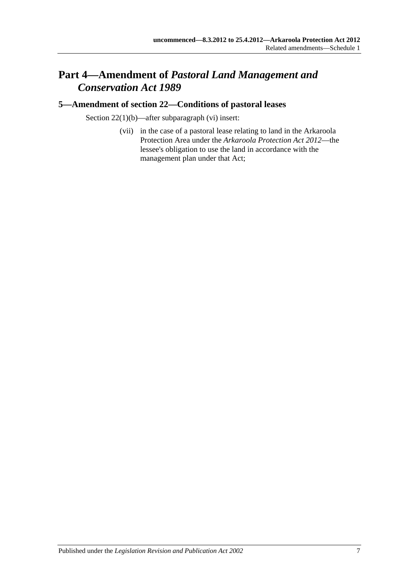# **Part 4—Amendment of** *Pastoral Land Management and Conservation Act 1989*

### <span id="page-6-0"></span>**5—Amendment of section 22—Conditions of pastoral leases**

Section 22(1)(b)—after subparagraph (vi) insert:

(vii) in the case of a pastoral lease relating to land in the Arkaroola Protection Area under the *[Arkaroola Protection Act](http://www.legislation.sa.gov.au/index.aspx?action=legref&type=act&legtitle=Arkaroola%20Protection%20Act%202012) 2012*—the lessee's obligation to use the land in accordance with the management plan under that Act;